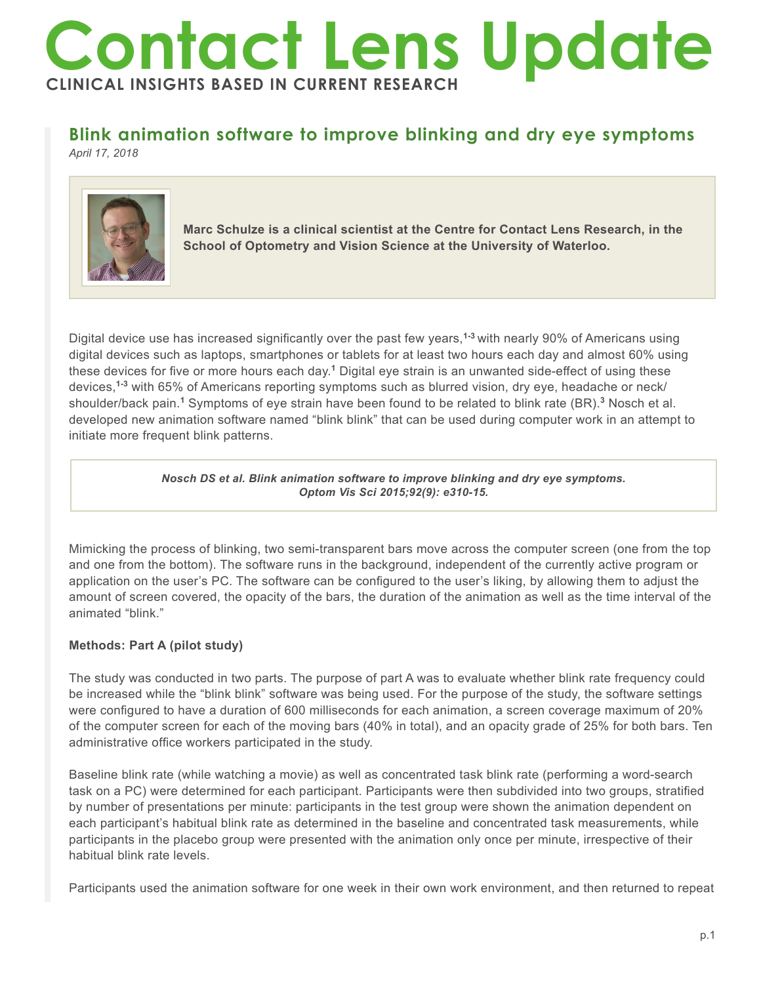# **Contact Lens Update CLINICAL INSIGHTS BASED IN CURRENT RESEARCH**

## **Blink animation software to improve blinking and dry eye symptoms**

*April 17, 2018*



**Marc Schulze is a clinical scientist at the Centre for Contact Lens Research, in the School of Optometry and Vision Science at the University of Waterloo.**

Digital device use has increased significantly over the past few years,**1-3** with nearly 90% of Americans using digital devices such as laptops, smartphones or tablets for at least two hours each day and almost 60% using these devices for five or more hours each day.**<sup>1</sup>** Digital eye strain is an unwanted side-effect of using these devices,**1-3** with 65% of Americans reporting symptoms such as blurred vision, dry eye, headache or neck/ shoulder/back pain.**<sup>1</sup>** Symptoms of eye strain have been found to be related to blink rate (BR).**<sup>3</sup>** Nosch et al. developed new animation software named "blink blink" that can be used during computer work in an attempt to initiate more frequent blink patterns.

> *Nosch DS et al. Blink animation software to improve blinking and dry eye symptoms. Optom Vis Sci 2015;92(9): e310-15.*

Mimicking the process of blinking, two semi-transparent bars move across the computer screen (one from the top and one from the bottom). The software runs in the background, independent of the currently active program or application on the user's PC. The software can be configured to the user's liking, by allowing them to adjust the amount of screen covered, the opacity of the bars, the duration of the animation as well as the time interval of the animated "blink."

### **Methods: Part A (pilot study)**

The study was conducted in two parts. The purpose of part A was to evaluate whether blink rate frequency could be increased while the "blink blink" software was being used. For the purpose of the study, the software settings were configured to have a duration of 600 milliseconds for each animation, a screen coverage maximum of 20% of the computer screen for each of the moving bars (40% in total), and an opacity grade of 25% for both bars. Ten administrative office workers participated in the study.

Baseline blink rate (while watching a movie) as well as concentrated task blink rate (performing a word-search task on a PC) were determined for each participant. Participants were then subdivided into two groups, stratified by number of presentations per minute: participants in the test group were shown the animation dependent on each participant's habitual blink rate as determined in the baseline and concentrated task measurements, while participants in the placebo group were presented with the animation only once per minute, irrespective of their habitual blink rate levels.

Participants used the animation software for one week in their own work environment, and then returned to repeat